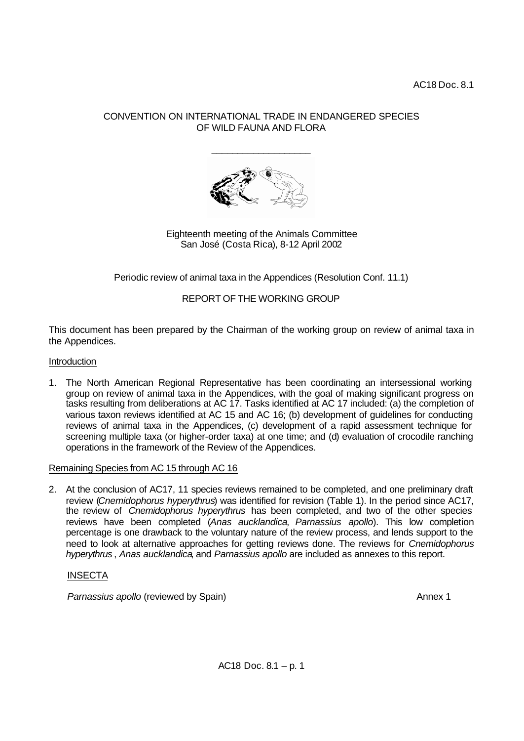## CONVENTION ON INTERNATIONAL TRADE IN ENDANGERED SPECIES OF WILD FAUNA AND FLORA

\_\_\_\_\_\_\_\_\_\_\_\_\_\_\_\_\_\_\_



Eighteenth meeting of the Animals Committee San José (Costa Rica), 8-12 April 2002

Periodic review of animal taxa in the Appendices (Resolution Conf. 11.1)

## REPORT OF THE WORKING GROUP

This document has been prepared by the Chairman of the working group on review of animal taxa in the Appendices.

#### Introduction

1. The North American Regional Representative has been coordinating an intersessional working group on review of animal taxa in the Appendices, with the goal of making significant progress on tasks resulting from deliberations at AC 17. Tasks identified at AC 17 included: (a) the completion of various taxon reviews identified at AC 15 and AC 16; (b) development of guidelines for conducting reviews of animal taxa in the Appendices, (c) development of a rapid assessment technique for screening multiple taxa (or higher-order taxa) at one time; and (d) evaluation of crocodile ranching operations in the framework of the Review of the Appendices.

#### Remaining Species from AC 15 through AC 16

2. At the conclusion of AC17, 11 species reviews remained to be completed, and one preliminary draft review (*Cnemidophorus hyperythrus*) was identified for revision (Table 1). In the period since AC17, the review of *Cnemidophorus hyperythrus* has been completed, and two of the other species reviews have been completed (*Anas aucklandica*, *Parnassius apollo*). This low completion percentage is one drawback to the voluntary nature of the review process, and lends support to the need to look at alternative approaches for getting reviews done. The reviews for *Cnemidophorus hyperythrus* , *Anas aucklandica*, and *Parnassius apollo* are included as annexes to this report.

## INSECTA

**Parnassius apollo (reviewed by Spain)** Annex 1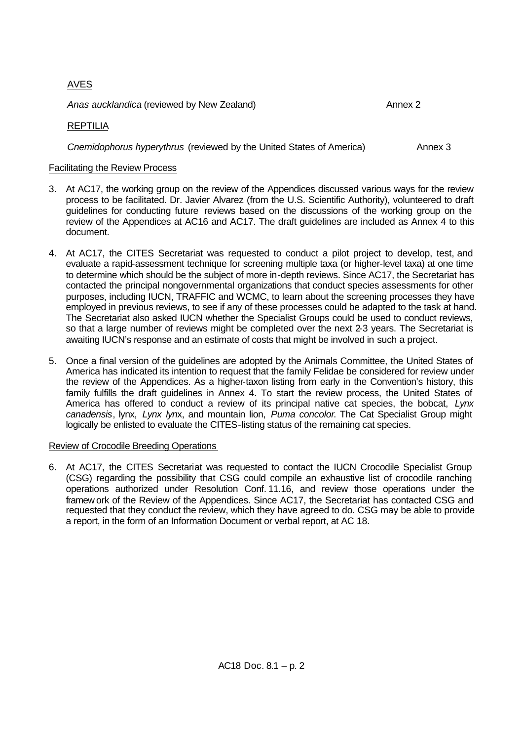# AVES

Anas *aucklandica* (reviewed by New Zealand) and the control of the Annex 2

## REPTILIA

## *Cnemidophorus hyperythrus* (reviewed by the United States of America) Annex 3

## Facilitating the Review Process

- 3. At AC17, the working group on the review of the Appendices discussed various ways for the review process to be facilitated. Dr. Javier Alvarez (from the U.S. Scientific Authority), volunteered to draft guidelines for conducting future reviews based on the discussions of the working group on the review of the Appendices at AC16 and AC17. The draft guidelines are included as Annex 4 to this document.
- 4. At AC17, the CITES Secretariat was requested to conduct a pilot project to develop, test, and evaluate a rapid-assessment technique for screening multiple taxa (or higher-level taxa) at one time to determine which should be the subject of more in-depth reviews. Since AC17, the Secretariat has contacted the principal nongovernmental organizations that conduct species assessments for other purposes, including IUCN, TRAFFIC and WCMC, to learn about the screening processes they have employed in previous reviews, to see if any of these processes could be adapted to the task at hand. The Secretariat also asked IUCN whether the Specialist Groups could be used to conduct reviews, so that a large number of reviews might be completed over the next 2-3 years. The Secretariat is awaiting IUCN's response and an estimate of costs that might be involved in such a project.
- 5. Once a final version of the guidelines are adopted by the Animals Committee, the United States of America has indicated its intention to request that the family Felidae be considered for review under the review of the Appendices. As a higher-taxon listing from early in the Convention's history, this family fulfills the draft guidelines in Annex 4. To start the review process, the United States of America has offered to conduct a review of its principal native cat species, the bobcat, *Lynx canadensis*, lynx, *Lynx lyn*x, and mountain lion, *Puma concolor*. The Cat Specialist Group might logically be enlisted to evaluate the CITES-listing status of the remaining cat species.

#### Review of Crocodile Breeding Operations

6. At AC17, the CITES Secretariat was requested to contact the IUCN Crocodile Specialist Group (CSG) regarding the possibility that CSG could compile an exhaustive list of crocodile ranching operations authorized under Resolution Conf. 11.16, and review those operations under the framew ork of the Review of the Appendices. Since AC17, the Secretariat has contacted CSG and requested that they conduct the review, which they have agreed to do. CSG may be able to provide a report, in the form of an Information Document or verbal report, at AC 18.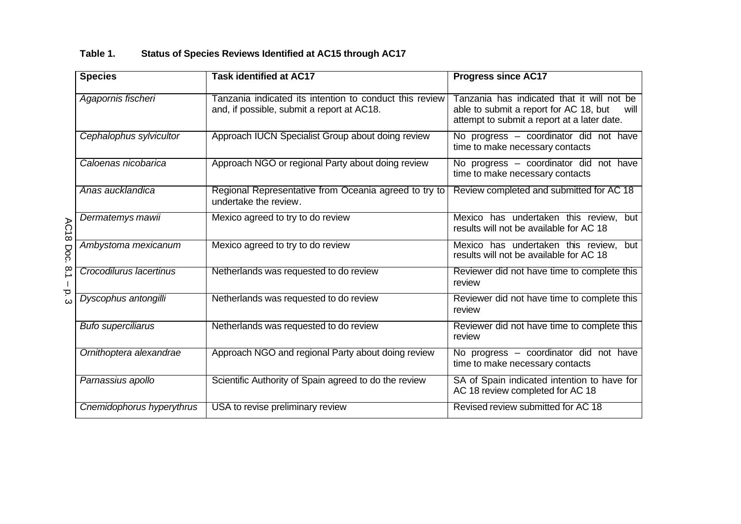| <b>Species</b>            | <b>Task identified at AC17</b>                                                                        | <b>Progress since AC17</b>                                                                                                                  |
|---------------------------|-------------------------------------------------------------------------------------------------------|---------------------------------------------------------------------------------------------------------------------------------------------|
|                           |                                                                                                       |                                                                                                                                             |
| Agapornis fischeri        | Tanzania indicated its intention to conduct this review<br>and, if possible, submit a report at AC18. | Tanzania has indicated that it will not be<br>able to submit a report for AC 18, but<br>will<br>attempt to submit a report at a later date. |
| Cephalophus sylvicultor   | Approach IUCN Specialist Group about doing review                                                     | No progress - coordinator did not have<br>time to make necessary contacts                                                                   |
| Caloenas nicobarica       | Approach NGO or regional Party about doing review                                                     | No progress - coordinator did not have<br>time to make necessary contacts                                                                   |
| Anas aucklandica          | Regional Representative from Oceania agreed to try to<br>undertake the review.                        | Review completed and submitted for AC 18                                                                                                    |
| Dermatemys mawii          | Mexico agreed to try to do review                                                                     | Mexico has undertaken this review, but<br>results will not be available for AC 18                                                           |
| Ambystoma mexicanum       | Mexico agreed to try to do review                                                                     | Mexico has undertaken this review, but<br>results will not be available for AC 18                                                           |
| Crocodilurus lacertinus   | Netherlands was requested to do review                                                                | Reviewer did not have time to complete this<br>review                                                                                       |
| Dyscophus antongilli      | Netherlands was requested to do review                                                                | Reviewer did not have time to complete this<br>review                                                                                       |
| <b>Bufo superciliarus</b> | Netherlands was requested to do review                                                                | Reviewer did not have time to complete this<br>review                                                                                       |
| Ornithoptera alexandrae   | Approach NGO and regional Party about doing review                                                    | No progress - coordinator did not have<br>time to make necessary contacts                                                                   |
| Parnassius apollo         | Scientific Authority of Spain agreed to do the review                                                 | SA of Spain indicated intention to have for<br>AC 18 review completed for AC 18                                                             |
| Cnemidophorus hyperythrus | USA to revise preliminary review                                                                      | Revised review submitted for AC 18                                                                                                          |

# **Table 1. Status of Species Reviews Identified at AC15 through AC17**

AC18 Doc. .<br>م –<br>به<br>و.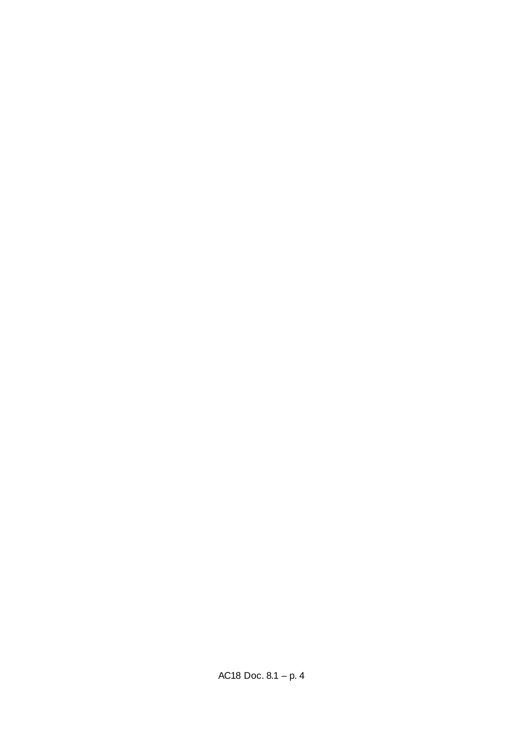AC18 Doc. 8.1 – p. 4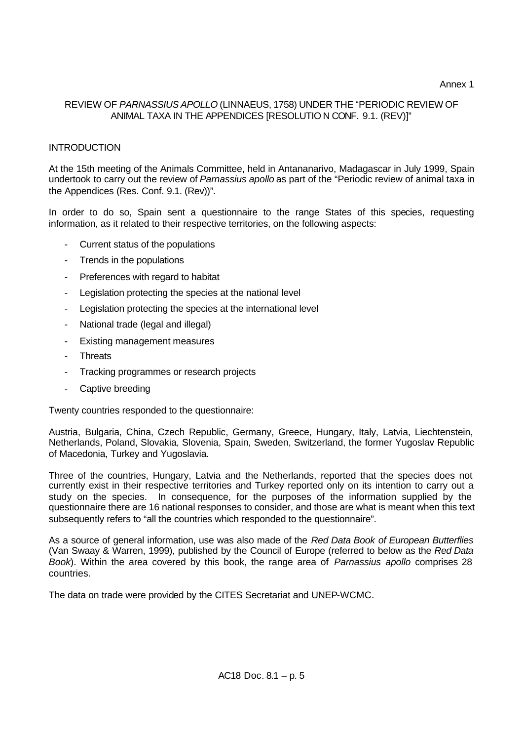Annex 1

## REVIEW OF *PARNASSIUS APOLLO* (LINNAEUS, 1758) UNDER THE "PERIODIC REVIEW OF ANIMAL TAXA IN THE APPENDICES [RESOLUTIO N CONF. 9.1. (REV)]"

## **INTRODUCTION**

At the 15th meeting of the Animals Committee, held in Antananarivo, Madagascar in July 1999, Spain undertook to carry out the review of *Parnassius apollo* as part of the "Periodic review of animal taxa in the Appendices (Res. Conf. 9.1. (Rev))".

In order to do so, Spain sent a questionnaire to the range States of this species, requesting information, as it related to their respective territories, on the following aspects:

- Current status of the populations
- Trends in the populations
- Preferences with regard to habitat
- Legislation protecting the species at the national level
- Legislation protecting the species at the international level
- National trade (legal and illegal)
- Existing management measures
- **Threats**
- Tracking programmes or research projects
- Captive breeding

Twenty countries responded to the questionnaire:

Austria, Bulgaria, China, Czech Republic, Germany, Greece, Hungary, Italy, Latvia, Liechtenstein, Netherlands, Poland, Slovakia, Slovenia, Spain, Sweden, Switzerland, the former Yugoslav Republic of Macedonia, Turkey and Yugoslavia.

Three of the countries, Hungary, Latvia and the Netherlands, reported that the species does not currently exist in their respective territories and Turkey reported only on its intention to carry out a study on the species. In consequence, for the purposes of the information supplied by the questionnaire there are 16 national responses to consider, and those are what is meant when this text subsequently refers to "all the countries which responded to the questionnaire".

As a source of general information, use was also made of the *Red Data Book of European Butterflies* (Van Swaay & Warren, 1999), published by the Council of Europe (referred to below as the *Red Data Book*). Within the area covered by this book, the range area of *Parnassius apollo* comprises 28 countries.

The data on trade were provided by the CITES Secretariat and UNEP-WCMC.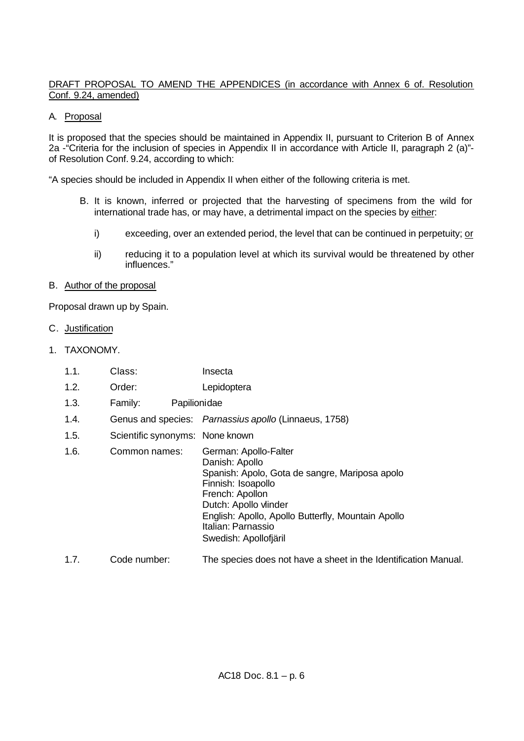### DRAFT PROPOSAL TO AMEND THE APPENDICES (in accordance with Annex 6 of. Resolution Conf. 9.24, amended)

## A. Proposal

It is proposed that the species should be maintained in Appendix II, pursuant to Criterion B of Annex 2a -"Criteria for the inclusion of species in Appendix II in accordance with Article II, paragraph 2 (a)" of Resolution Conf. 9.24, according to which:

"A species should be included in Appendix II when either of the following criteria is met.

- B. It is known, inferred or projected that the harvesting of specimens from the wild for international trade has, or may have, a detrimental impact on the species by either:
	- i) exceeding, over an extended period, the level that can be continued in perpetuity; or
	- ii) reducing it to a population level at which its survival would be threatened by other influences."

#### B. Author of the proposal

Proposal drawn up by Spain.

- C. Justification
- 1. TAXONOMY.

| 1.1. | Class:                          | Insecta                                                                                                                                                                                                                                                          |
|------|---------------------------------|------------------------------------------------------------------------------------------------------------------------------------------------------------------------------------------------------------------------------------------------------------------|
| 1.2. | Order:                          | Lepidoptera                                                                                                                                                                                                                                                      |
| 1.3. | Family:                         | Papilionidae                                                                                                                                                                                                                                                     |
| 1.4. |                                 | Genus and species: Parnassius apollo (Linnaeus, 1758)                                                                                                                                                                                                            |
| 1.5. | Scientific synonyms: None known |                                                                                                                                                                                                                                                                  |
| 1.6. | Common names:                   | German: Apollo-Falter<br>Danish: Apollo<br>Spanish: Apolo, Gota de sangre, Mariposa apolo<br>Finnish: Isoapollo<br>French: Apollon<br>Dutch: Apollo vlinder<br>English: Apollo, Apollo Butterfly, Mountain Apollo<br>Italian: Parnassio<br>Swedish: Apollofjäril |
| 1.7. | Code number:                    | The species does not have a sheet in the Identification Manual.                                                                                                                                                                                                  |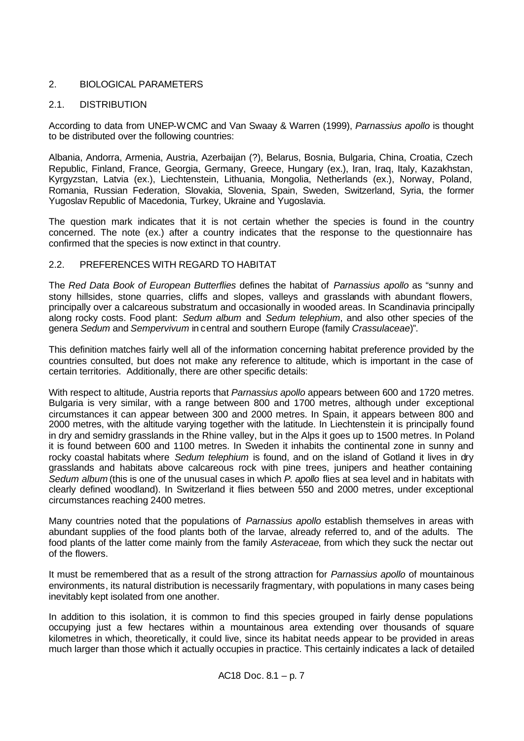### 2. BIOLOGICAL PARAMETERS

#### 2.1. DISTRIBUTION

According to data from UNEP-WCMC and Van Swaay & Warren (1999), *Parnassius apollo* is thought to be distributed over the following countries:

Albania, Andorra, Armenia, Austria, Azerbaijan (?), Belarus, Bosnia, Bulgaria, China, Croatia, Czech Republic, Finland, France, Georgia, Germany, Greece, Hungary (ex.), Iran, Iraq, Italy, Kazakhstan, Kyrgyzstan, Latvia (ex.), Liechtenstein, Lithuania, Mongolia, Netherlands (ex.), Norway, Poland, Romania, Russian Federation, Slovakia, Slovenia, Spain, Sweden, Switzerland, Syria, the former Yugoslav Republic of Macedonia, Turkey, Ukraine and Yugoslavia.

The question mark indicates that it is not certain whether the species is found in the country concerned. The note (ex.) after a country indicates that the response to the questionnaire has confirmed that the species is now extinct in that country.

## 2.2. PREFERENCES WITH REGARD TO HABITAT

The *Red Data Book of European Butterflies* defines the habitat of *Parnassius apollo* as "sunny and stony hillsides, stone quarries, cliffs and slopes, valleys and grasslands with abundant flowers, principally over a calcareous substratum and occasionally in wooded areas. In Scandinavia principally along rocky costs. Food plant: *Sedum album* and *Sedum telephium*, and also other species of the genera *Sedum* and *Sempervivum* in central and southern Europe (family *Crassulaceae*)".

This definition matches fairly well all of the information concerning habitat preference provided by the countries consulted, but does not make any reference to altitude, which is important in the case of certain territories. Additionally, there are other specific details:

With respect to altitude, Austria reports that *Parnassius apollo* appears between 600 and 1720 metres. Bulgaria is very similar, with a range between 800 and 1700 metres, although under exceptional circumstances it can appear between 300 and 2000 metres. In Spain, it appears between 800 and 2000 metres, with the altitude varying together with the latitude. In Liechtenstein it is principally found in dry and semidry grasslands in the Rhine valley, but in the Alps it goes up to 1500 metres. In Poland it is found between 600 and 1100 metres. In Sweden it inhabits the continental zone in sunny and rocky coastal habitats where *Sedum telephium* is found, and on the island of Gotland it lives in dry grasslands and habitats above calcareous rock with pine trees, junipers and heather containing *Sedum album* (this is one of the unusual cases in which *P. apollo* flies at sea level and in habitats with clearly defined woodland). In Switzerland it flies between 550 and 2000 metres, under exceptional circumstances reaching 2400 metres.

Many countries noted that the populations of *Parnassius apollo* establish themselves in areas with abundant supplies of the food plants both of the larvae, already referred to, and of the adults. The food plants of the latter come mainly from the family *Asteraceae*, from which they suck the nectar out of the flowers.

It must be remembered that as a result of the strong attraction for *Parnassius apollo* of mountainous environments, its natural distribution is necessarily fragmentary, with populations in many cases being inevitably kept isolated from one another.

In addition to this isolation, it is common to find this species grouped in fairly dense populations occupying just a few hectares within a mountainous area extending over thousands of square kilometres in which, theoretically, it could live, since its habitat needs appear to be provided in areas much larger than those which it actually occupies in practice. This certainly indicates a lack of detailed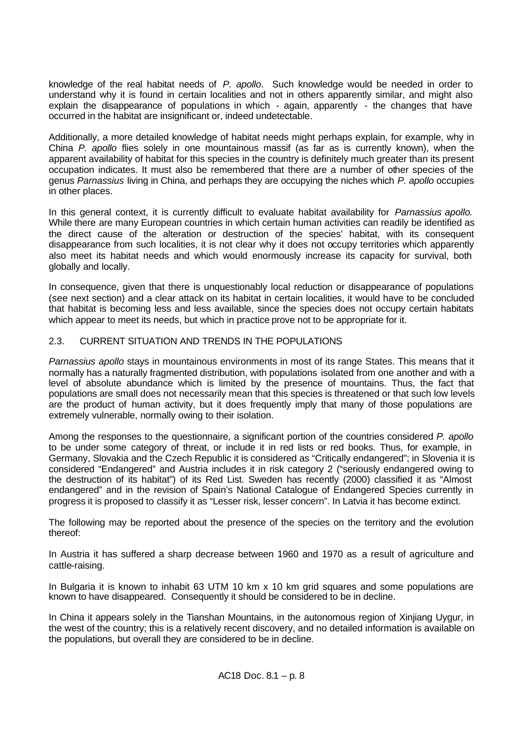knowledge of the real habitat needs of *P. apollo*. Such knowledge would be needed in order to understand why it is found in certain localities and not in others apparently similar, and might also explain the disappearance of populations in which - again, apparently - the changes that have occurred in the habitat are insignificant or, indeed undetectable.

Additionally, a more detailed knowledge of habitat needs might perhaps explain, for example, why in China *P. apollo* flies solely in one mountainous massif (as far as is currently known), when the apparent availability of habitat for this species in the country is definitely much greater than its present occupation indicates. It must also be remembered that there are a number of other species of the genus *Parnassius* living in China, and perhaps they are occupying the niches which *P. apollo* occupies in other places.

In this general context, it is currently difficult to evaluate habitat availability for *Parnassius apollo.*  While there are many European countries in which certain human activities can readily be identified as the direct cause of the alteration or destruction of the species' habitat, with its consequent disappearance from such localities, it is not clear why it does not occupy territories which apparently also meet its habitat needs and which would enormously increase its capacity for survival, both globally and locally.

In consequence, given that there is unquestionably local reduction or disappearance of populations (see next section) and a clear attack on its habitat in certain localities, it would have to be concluded that habitat is becoming less and less available, since the species does not occupy certain habitats which appear to meet its needs, but which in practice prove not to be appropriate for it.

#### 2.3. CURRENT SITUATION AND TRENDS IN THE POPULATIONS

*Parnassius apollo* stays in mountainous environments in most of its range States. This means that it normally has a naturally fragmented distribution, with populations isolated from one another and with a level of absolute abundance which is limited by the presence of mountains. Thus, the fact that populations are small does not necessarily mean that this species is threatened or that such low levels are the product of human activity, but it does frequently imply that many of those populations are extremely vulnerable, normally owing to their isolation.

Among the responses to the questionnaire, a significant portion of the countries considered *P. apollo* to be under some category of threat, or include it in red lists or red books. Thus, for example, in Germany, Slovakia and the Czech Republic it is considered as "Critically endangered"; in Slovenia it is considered "Endangered" and Austria includes it in risk category 2 ("seriously endangered owing to the destruction of its habitat") of its Red List. Sweden has recently (2000) classified it as "Almost endangered" and in the revision of Spain's National Catalogue of Endangered Species currently in progress it is proposed to classify it as "Lesser risk, lesser concern". In Latvia it has become extinct.

The following may be reported about the presence of the species on the territory and the evolution thereof:

In Austria it has suffered a sharp decrease between 1960 and 1970 as a result of agriculture and cattle-raising.

In Bulgaria it is known to inhabit 63 UTM 10 km x 10 km grid squares and some populations are known to have disappeared. Consequently it should be considered to be in decline.

In China it appears solely in the Tianshan Mountains, in the autonomous region of Xinjiang Uygur, in the west of the country; this is a relatively recent discovery, and no detailed information is available on the populations, but overall they are considered to be in decline.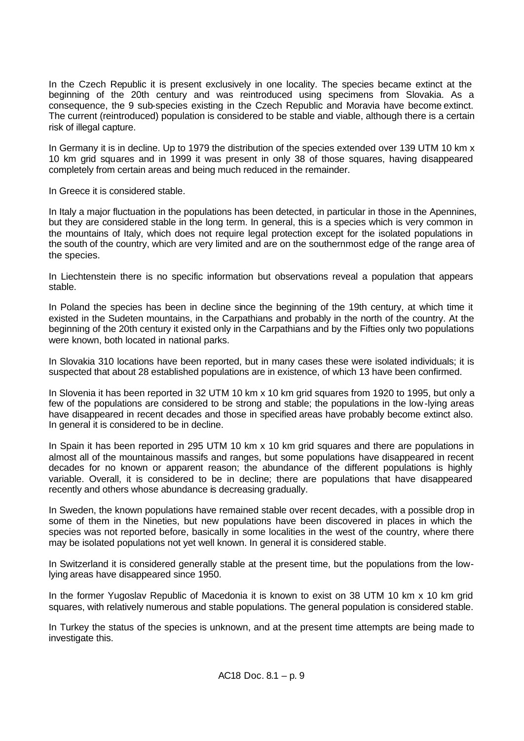In the Czech Republic it is present exclusively in one locality. The species became extinct at the beginning of the 20th century and was reintroduced using specimens from Slovakia. As a consequence, the 9 sub-species existing in the Czech Republic and Moravia have become extinct. The current (reintroduced) population is considered to be stable and viable, although there is a certain risk of illegal capture.

In Germany it is in decline. Up to 1979 the distribution of the species extended over 139 UTM 10 km x 10 km grid squares and in 1999 it was present in only 38 of those squares, having disappeared completely from certain areas and being much reduced in the remainder.

In Greece it is considered stable.

In Italy a major fluctuation in the populations has been detected, in particular in those in the Apennines, but they are considered stable in the long term. In general, this is a species which is very common in the mountains of Italy, which does not require legal protection except for the isolated populations in the south of the country, which are very limited and are on the southernmost edge of the range area of the species.

In Liechtenstein there is no specific information but observations reveal a population that appears stable.

In Poland the species has been in decline since the beginning of the 19th century, at which time it existed in the Sudeten mountains, in the Carpathians and probably in the north of the country. At the beginning of the 20th century it existed only in the Carpathians and by the Fifties only two populations were known, both located in national parks.

In Slovakia 310 locations have been reported, but in many cases these were isolated individuals; it is suspected that about 28 established populations are in existence, of which 13 have been confirmed.

In Slovenia it has been reported in 32 UTM 10 km x 10 km grid squares from 1920 to 1995, but only a few of the populations are considered to be strong and stable; the populations in the low-lying areas have disappeared in recent decades and those in specified areas have probably become extinct also. In general it is considered to be in decline.

In Spain it has been reported in 295 UTM 10 km x 10 km grid squares and there are populations in almost all of the mountainous massifs and ranges, but some populations have disappeared in recent decades for no known or apparent reason; the abundance of the different populations is highly variable. Overall, it is considered to be in decline; there are populations that have disappeared recently and others whose abundance is decreasing gradually.

In Sweden, the known populations have remained stable over recent decades, with a possible drop in some of them in the Nineties, but new populations have been discovered in places in which the species was not reported before, basically in some localities in the west of the country, where there may be isolated populations not yet well known. In general it is considered stable.

In Switzerland it is considered generally stable at the present time, but the populations from the lowlying areas have disappeared since 1950.

In the former Yugoslav Republic of Macedonia it is known to exist on 38 UTM 10 km x 10 km grid squares, with relatively numerous and stable populations. The general population is considered stable.

In Turkey the status of the species is unknown, and at the present time attempts are being made to investigate this.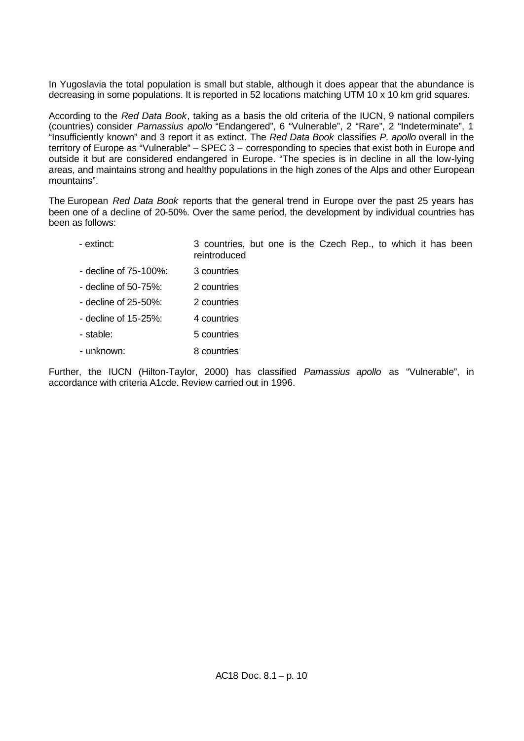In Yugoslavia the total population is small but stable, although it does appear that the abundance is decreasing in some populations. It is reported in 52 locations matching UTM 10 x 10 km grid squares.

According to the *Red Data Book*, taking as a basis the old criteria of the IUCN, 9 national compilers (countries) consider *Parnassius apollo* "Endangered", 6 "Vulnerable", 2 "Rare", 2 "Indeterminate", 1 "Insufficiently known" and 3 report it as extinct. The *Red Data Book* classifies *P. apollo* overall in the territory of Europe as "Vulnerable" – SPEC 3 – corresponding to species that exist both in Europe and outside it but are considered endangered in Europe. "The species is in decline in all the low-lying areas, and maintains strong and healthy populations in the high zones of the Alps and other European mountains".

The European *Red Data Book* reports that the general trend in Europe over the past 25 years has been one of a decline of 20-50%. Over the same period, the development by individual countries has been as follows:

- extinct: 3 countries, but one is the Czech Rep., to which it has been reintroduced
- decline of 75-100%: 3 countries
- decline of 50-75%: 2 countries
- decline of 25-50%: 2 countries
- decline of 15-25%: 4 countries
- stable: 5 countries
- unknown: 8 countries

Further, the IUCN (Hilton-Taylor, 2000) has classified *Parnassius apollo* as "Vulnerable", in accordance with criteria A1cde. Review carried out in 1996.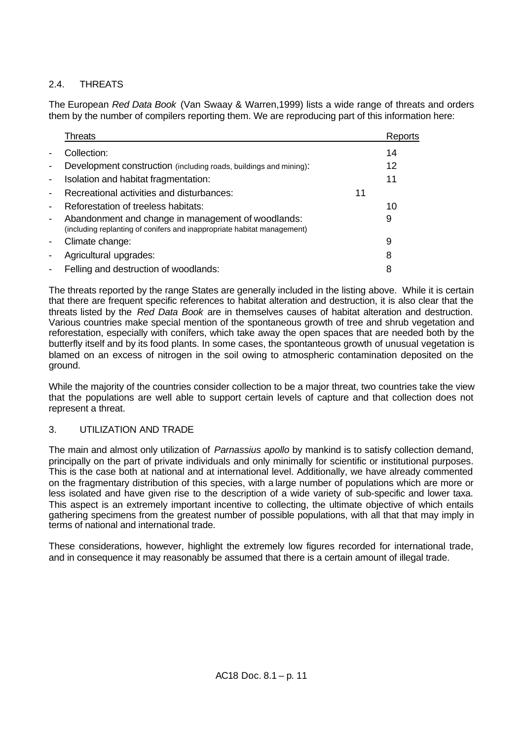# 2.4. THREATS

The European *Red Data Book* (Van Swaay & Warren,1999) lists a wide range of threats and orders them by the number of compilers reporting them. We are reproducing part of this information here:

|                          | Threats                                                                                                                       |    | Reports |
|--------------------------|-------------------------------------------------------------------------------------------------------------------------------|----|---------|
| $\blacksquare$           | Collection:                                                                                                                   |    | 14      |
| -                        | Development construction (including roads, buildings and mining):                                                             |    | 12      |
| $\overline{\phantom{a}}$ | Isolation and habitat fragmentation:                                                                                          |    | 11      |
| $\overline{\phantom{0}}$ | Recreational activities and disturbances:                                                                                     | 11 |         |
| $\overline{\phantom{a}}$ | Reforestation of treeless habitats:                                                                                           |    | 10      |
| $\overline{\phantom{a}}$ | Abandonment and change in management of woodlands:<br>(including replanting of conifers and inappropriate habitat management) |    | 9       |
| $\overline{\phantom{a}}$ | Climate change:                                                                                                               |    | 9       |
| $\blacksquare$           | Agricultural upgrades:                                                                                                        |    | 8       |
| $\blacksquare$           | Felling and destruction of woodlands:                                                                                         |    | 8       |

The threats reported by the range States are generally included in the listing above. While it is certain that there are frequent specific references to habitat alteration and destruction, it is also clear that the threats listed by the *Red Data Book* are in themselves causes of habitat alteration and destruction. Various countries make special mention of the spontaneous growth of tree and shrub vegetation and reforestation, especially with conífers, which take away the open spaces that are needed both by the butterfly itself and by its food plants. In some cases, the spontanteous growth of unusual vegetation is blamed on an excess of nitrogen in the soil owing to atmospheric contamination deposited on the ground.

While the majority of the countries consider collection to be a major threat, two countries take the view that the populations are well able to support certain levels of capture and that collection does not represent a threat.

#### 3. UTILIZATION AND TRADE

The main and almost only utilization of *Parnassius apollo* by mankind is to satisfy collection demand, principally on the part of private individuals and only minimally for scientific or institutional purposes. This is the case both at national and at international level. Additionally, we have already commented on the fragmentary distribution of this species, with a large number of populations which are more or less isolated and have given rise to the description of a wide variety of sub-specific and lower taxa. This aspect is an extremely important incentive to collecting, the ultimate objective of which entails gathering specimens from the greatest number of possible populations, with all that that may imply in terms of national and international trade.

These considerations, however, highlight the extremely low figures recorded for international trade, and in consequence it may reasonably be assumed that there is a certain amount of illegal trade.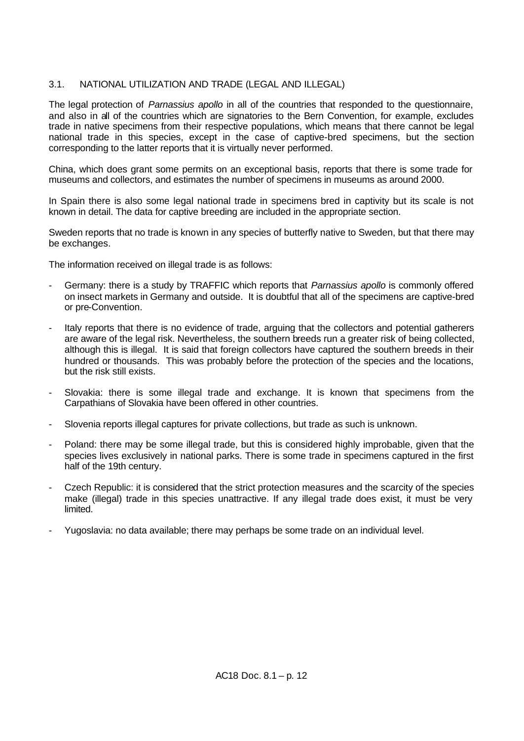## 3.1. NATIONAL UTILIZATION AND TRADE (LEGAL AND ILLEGAL)

The legal protection of *Parnassius apollo* in all of the countries that responded to the questionnaire, and also in all of the countries which are signatories to the Bern Convention, for example, excludes trade in native specimens from their respective populations, which means that there cannot be legal national trade in this species, except in the case of captive-bred specimens, but the section corresponding to the latter reports that it is virtually never performed.

China, which does grant some permits on an exceptional basis, reports that there is some trade for museums and collectors, and estimates the number of specimens in museums as around 2000.

In Spain there is also some legal national trade in specimens bred in captivity but its scale is not known in detail. The data for captive breeding are included in the appropriate section.

Sweden reports that no trade is known in any species of butterfly native to Sweden, but that there may be exchanges.

The information received on illegal trade is as follows:

- Germany: there is a study by TRAFFIC which reports that *Parnassius apollo* is commonly offered on insect markets in Germany and outside. It is doubtful that all of the specimens are captive-bred or pre-Convention.
- Italy reports that there is no evidence of trade, arguing that the collectors and potential gatherers are aware of the legal risk. Nevertheless, the southern breeds run a greater risk of being collected, although this is illegal. It is said that foreign collectors have captured the southern breeds in their hundred or thousands. This was probably before the protection of the species and the locations, but the risk still exists.
- Slovakia: there is some illegal trade and exchange. It is known that specimens from the Carpathians of Slovakia have been offered in other countries.
- Slovenia reports illegal captures for private collections, but trade as such is unknown.
- Poland: there may be some illegal trade, but this is considered highly improbable, given that the species lives exclusively in national parks. There is some trade in specimens captured in the first half of the 19th century.
- Czech Republic: it is considered that the strict protection measures and the scarcity of the species make (illegal) trade in this species unattractive. If any illegal trade does exist, it must be very limited.
- Yugoslavia: no data available; there may perhaps be some trade on an individual level.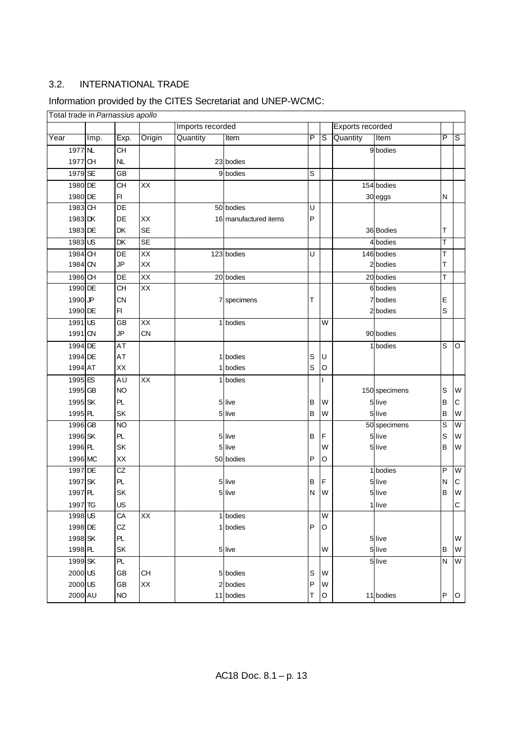## 3.2. INTERNATIONAL TRADE

# Information provided by the CITES Secretariat and UNEP-WCMC:

Total trade in *Parnassius apollo*

|                   |      |                 |           | Imports recorded |                       |                |                | <b>Exports recorded</b> |               |             |         |
|-------------------|------|-----------------|-----------|------------------|-----------------------|----------------|----------------|-------------------------|---------------|-------------|---------|
| Year              | Imp. | Exp.            | Origin    | Quantity         | Item                  | P              | ιs             | Quantity                | Item          | P           | ΙS      |
| 1977 <sub>N</sub> |      | $\overline{CH}$ |           |                  |                       |                |                |                         | 9 bodies      |             |         |
| 1977 CH           |      | NL              |           |                  | 23 bodies             |                |                |                         |               |             |         |
| 1979 SE           |      | $\overline{GB}$ |           |                  | 9 bodies              | $\overline{s}$ |                |                         |               |             |         |
| 1980 DE           |      | CH              | XX        |                  |                       |                |                |                         | 154 bodies    |             |         |
| 1980 DE           |      | FI              |           |                  |                       |                |                |                         | 30 eggs       | N           |         |
| $1983$ CH         |      | DE              |           |                  | 50 bodies             | U              |                |                         |               |             |         |
| 1983 DK           |      | <b>DE</b>       | XX        |                  | 16 manufactured items | P              |                |                         |               |             |         |
| 1983 DE           |      | DK              | <b>SE</b> |                  |                       |                |                |                         | 36 Bodies     | Τ           |         |
| 1983 US           |      | DK              | <b>SE</b> |                  |                       |                |                |                         | 4 bodies      | T           |         |
| 1984 CH           |      | DE              | XX        |                  | 123 bodies            | U              |                |                         | 146 bodies    | Т           |         |
| 1984 CN           |      | JP              | XX        |                  |                       |                |                |                         | 2 bodies      | Т           |         |
| 1986 CH           |      | DE              | XX        |                  | 20 bodies             |                |                |                         | 20 bodies     | T           |         |
| 1990 DE           |      | <b>CH</b>       | XX        |                  |                       |                |                |                         | 6 bodies      |             |         |
| 1990 JP           |      | <b>CN</b>       |           |                  | 7 specimens           | Τ              |                |                         | 7 bodies      | Е           |         |
| 1990 DE           |      | FI              |           |                  |                       |                |                |                         | 2 bodies      | $\mathbf S$ |         |
| 1991 US           |      | $\overline{GB}$ | XX        |                  | 1 bodies              |                | $\overline{W}$ |                         |               |             |         |
| 1991 CN           |      | JP              | CN        |                  |                       |                |                |                         | 90 bodies     |             |         |
| 1994 DE           |      | AT              |           |                  |                       |                |                |                         | bodies        | $\mathbf S$ | ō       |
| 1994 DE           |      | AT              |           |                  | 1 bodies              | S              | U              |                         |               |             |         |
| 1994 AT           |      | XX              |           |                  | 1 bodies              | $\mathsf{s}$   | O              |                         |               |             |         |
| 1995 ES           |      | AU              | XX        |                  | 1 bodies              |                |                |                         |               |             |         |
| 1995 GB           |      | <b>NO</b>       |           |                  |                       |                |                |                         | 150 specimens | S           | W       |
| 1995 SK           |      | PL.             |           |                  | 5 live                | B              | W              |                         | 5 live        | B           | С       |
| 1995 <sub>R</sub> |      | SK              |           |                  | 5 live                | $\overline{B}$ | W              |                         | 5 live        | B           | W       |
| 1996 GB           |      | <b>NO</b>       |           |                  |                       |                |                |                         | 50 specimens  | S           | W       |
| 1996 SK           |      | PL.             |           |                  | 5 live                | B              | F              |                         | 5 live        | S           | W       |
| 1996 <sub>R</sub> |      | <b>SK</b>       |           |                  | 5 live                |                | W              |                         | 5 live        | B           | W       |
| 1996 MC           |      | XX              |           |                  | 50 bodies             | P              | O              |                         |               |             |         |
| 1997 DE           |      | CZ              |           |                  |                       |                |                |                         | bodies        | Ρ           | W       |
| 1997 SK           |      | PL              |           |                  | 5 live                | $\sf B$        | F              |                         | 5 live        | N           | С       |
| 1997 <sub>R</sub> |      | <b>SK</b>       |           |                  | 5 live                | N              | W              |                         | 5 live        | В           | W       |
| 1997 TG           |      | US              |           |                  |                       |                |                |                         | 1 live        |             | C       |
| 1998 LG           |      | ${\sf CA}$      | XX        |                  | 1 bodies              |                | W              |                         |               |             |         |
| 1998 DE           |      | CZ              |           |                  | 1 bodies              | P              | O              |                         |               |             |         |
| 1998 SK           |      | PL              |           |                  |                       |                |                |                         | 5 live        |             | W       |
| 1998 <sub>R</sub> |      | SK              |           |                  | 5 live                |                | W              |                         | 5 live        | B           | W       |
| 1999 SK           |      | <b>PL</b>       |           |                  |                       |                |                |                         | 5 live        | N           | W       |
| 2000 LS           |      | GB              | CH        |                  | 5 bodies              | S              | W              |                         |               |             |         |
| 2000 US           |      | GB              | XX        |                  | 2 bodies              | P              | W              |                         |               |             |         |
| 2000 AU           |      | <b>NO</b>       |           |                  | 11 bodies             | Τ              | O              |                         | 11 bodies     | Ρ           | $\circ$ |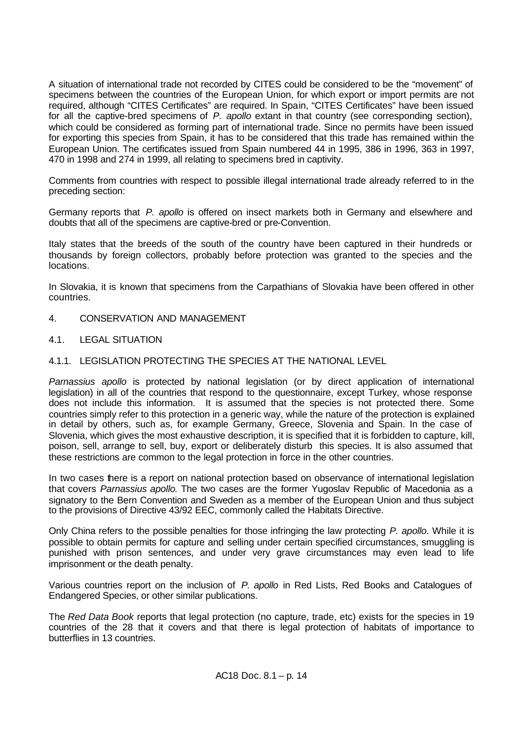A situation of international trade not recorded by CITES could be considered to be the "movement" of specimens between the countries of the European Union, for which export or import permits are not required, although "CITES Certificates" are required. In Spain, "CITES Certificates" have been issued for all the captive-bred specimens of *P. apollo* extant in that country (see corresponding section), which could be considered as forming part of international trade. Since no permits have been issued for exporting this species from Spain, it has to be considered that this trade has remained within the European Union. The certificates issued from Spain numbered 44 in 1995, 386 in 1996, 363 in 1997, 470 in 1998 and 274 in 1999, all relating to specimens bred in captivity.

Comments from countries with respect to possible illegal international trade already referred to in the preceding section:

Germany reports that *P. apollo* is offered on insect markets both in Germany and elsewhere and doubts that all of the specimens are captive-bred or pre-Convention.

Italy states that the breeds of the south of the country have been captured in their hundreds or thousands by foreign collectors, probably before protection was granted to the species and the locations.

In Slovakia, it is known that specimens from the Carpathians of Slovakia have been offered in other countries.

- 4. CONSERVATION AND MANAGEMENT
- 4.1. LEGAL SITUATION
- 4.1.1. LEGISLATION PROTECTING THE SPECIES AT THE NATIONAL LEVEL

*Parnassius apollo* is protected by national legislation (or by direct application of international legislation) in all of the countries that respond to the questionnaire, except Turkey, whose response does not include this information. It is assumed that the species is not protected there. Some countries simply refer to this protection in a generic way, while the nature of the protection is explained in detail by others, such as, for example Germany, Greece, Slovenia and Spain. In the case of Slovenia, which gives the most exhaustive description, it is specified that it is forbidden to capture, kill, poison, sell, arrange to sell, buy, export or deliberately disturb this species. It is also assumed that these restrictions are common to the legal protection in force in the other countries.

In two cases there is a report on national protection based on observance of international legislation that covers *Parnassius apollo*. The two cases are the former Yugoslav Republic of Macedonia as a signatory to the Bern Convention and Sweden as a member of the European Union and thus subject to the provisions of Directive 43/92 EEC, commonly called the Habitats Directive.

Only China refers to the possible penalties for those infringing the law protecting *P. apollo*. While it is possible to obtain permits for capture and selling under certain specified circumstances, smuggling is punished with prison sentences, and under very grave circumstances may even lead to life imprisonment or the death penalty.

Various countries report on the inclusion of *P. apollo* in Red Lists, Red Books and Catalogues of Endangered Species, or other similar publications.

The *Red Data Book* reports that legal protection (no capture, trade, etc) exists for the species in 19 countries of the 28 that it covers and that there is legal protection of habitats of importance to butterflies in 13 countries.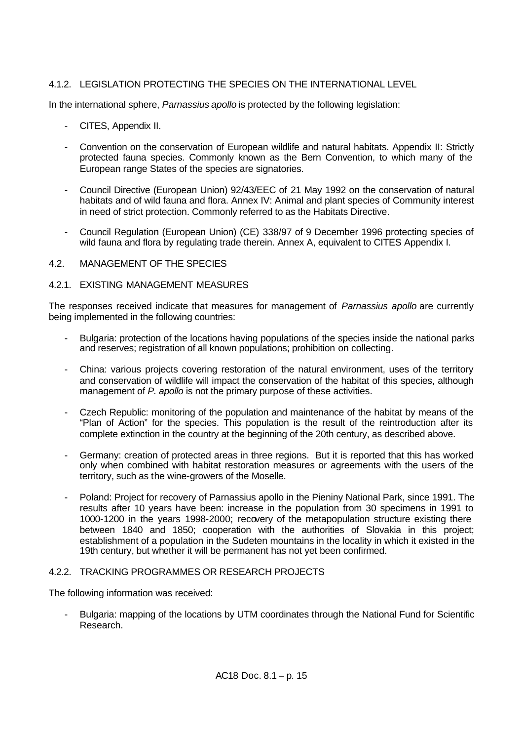## 4.1.2. LEGISLATION PROTECTING THE SPECIES ON THE INTERNATIONAL LEVEL

In the international sphere, *Parnassius apollo* is protected by the following legislation:

- CITES, Appendix II.
- Convention on the conservation of European wildlife and natural habitats. Appendix II: Strictly protected fauna species. Commonly known as the Bern Convention, to which many of the European range States of the species are signatories.
- Council Directive (European Union) 92/43/EEC of 21 May 1992 on the conservation of natural habitats and of wild fauna and flora. Annex IV: Animal and plant species of Community interest in need of strict protection. Commonly referred to as the Habitats Directive.
- Council Regulation (European Union) (CE) 338/97 of 9 December 1996 protecting species of wild fauna and flora by regulating trade therein. Annex A, equivalent to CITES Appendix I.

#### 4.2. MANAGEMENT OF THE SPECIES

#### 4.2.1. EXISTING MANAGEMENT MEASURES

The responses received indicate that measures for management of *Parnassius apollo* are currently being implemented in the following countries:

- Bulgaria: protection of the locations having populations of the species inside the national parks and reserves; registration of all known populations; prohibition on collecting.
- China: various projects covering restoration of the natural environment, uses of the territory and conservation of wildlife will impact the conservation of the habitat of this species, although management of *P. apollo* is not the primary purpose of these activities.
- Czech Republic: monitoring of the population and maintenance of the habitat by means of the "Plan of Action" for the species. This population is the result of the reintroduction after its complete extinction in the country at the beginning of the 20th century, as described above.
- Germany: creation of protected areas in three regions. But it is reported that this has worked only when combined with habitat restoration measures or agreements with the users of the territory, such as the wine-growers of the Moselle.
- Poland: Project for recovery of Parnassius apollo in the Pieniny National Park, since 1991. The results after 10 years have been: increase in the population from 30 specimens in 1991 to 1000-1200 in the years 1998-2000; recovery of the metapopulation structure existing there between 1840 and 1850; cooperation with the authorities of Slovakia in this project; establishment of a population in the Sudeten mountains in the locality in which it existed in the 19th century, but whether it will be permanent has not yet been confirmed.

#### 4.2.2. TRACKING PROGRAMMES OR RESEARCH PROJECTS

The following information was received:

- Bulgaria: mapping of the locations by UTM coordinates through the National Fund for Scientific Research.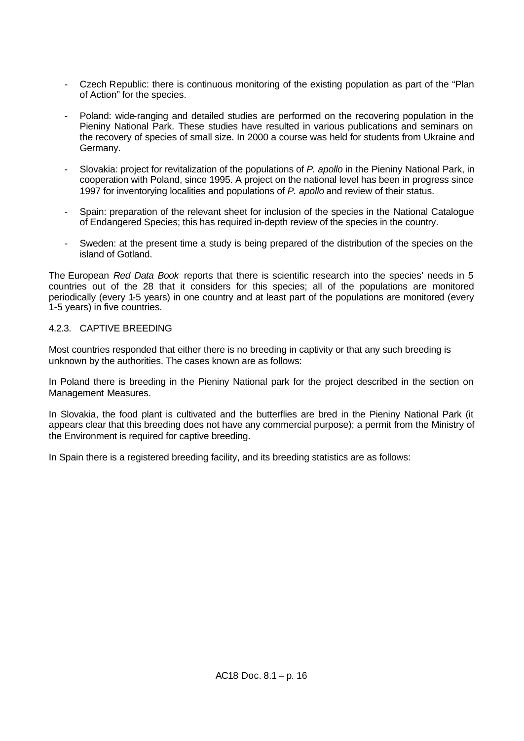- Czech Republic: there is continuous monitoring of the existing population as part of the "Plan of Action" for the species.
- Poland: wide-ranging and detailed studies are performed on the recovering population in the Pieniny National Park. These studies have resulted in various publications and seminars on the recovery of species of small size. In 2000 a course was held for students from Ukraine and Germany.
- Slovakia: project for revitalization of the populations of *P. apollo* in the Pieniny National Park, in cooperation with Poland, since 1995. A project on the national level has been in progress since 1997 for inventorying localities and populations of *P. apollo* and review of their status.
- Spain: preparation of the relevant sheet for inclusion of the species in the National Catalogue of Endangered Species; this has required in-depth review of the species in the country.
- Sweden: at the present time a study is being prepared of the distribution of the species on the island of Gotland.

The European *Red Data Book* reports that there is scientific research into the species' needs in 5 countries out of the 28 that it considers for this species; all of the populations are monitored periodically (every 1-5 years) in one country and at least part of the populations are monitored (every 1-5 years) in five countries.

## 4.2.3. CAPTIVE BREEDING

Most countries responded that either there is no breeding in captivity or that any such breeding is unknown by the authorities. The cases known are as follows:

In Poland there is breeding in the Pieniny National park for the project described in the section on Management Measures.

In Slovakia, the food plant is cultivated and the butterflies are bred in the Pieniny National Park (it appears clear that this breeding does not have any commercial purpose); a permit from the Ministry of the Environment is required for captive breeding.

In Spain there is a registered breeding facility, and its breeding statistics are as follows: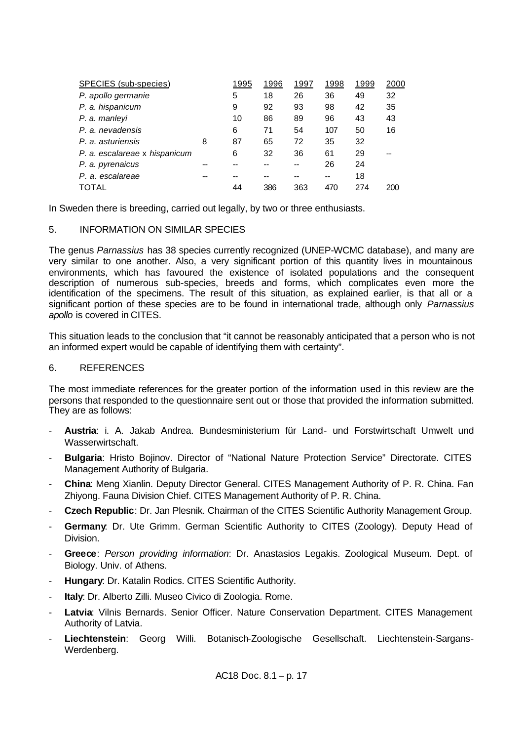| <b>SPECIES</b> (sub-species)  |   | 1995 | 1996 | 1997 | 1998 | 1999 | 2000 |
|-------------------------------|---|------|------|------|------|------|------|
| P. apollo germanie            |   | 5    | 18   | 26   | 36   | 49   | 32   |
| P. a. hispanicum              |   | 9    | 92   | 93   | 98   | 42   | 35   |
| P. a. manleyi                 |   | 10   | 86   | 89   | 96   | 43   | 43   |
| P. a. nevadensis              |   | 6    | 71   | 54   | 107  | 50   | 16   |
| P. a. asturiensis             | 8 | 87   | 65   | 72   | 35   | 32   |      |
| P. a. escalareae x hispanicum |   | 6    | 32   | 36   | 61   | 29   |      |
| P. a. pyrenaicus              |   |      |      |      | 26   | 24   |      |
| P. a. escalareae              |   |      |      |      |      | 18   |      |
| TOTAL                         |   | 44   | 386  | 363  | 470  | 274  | 200  |

In Sweden there is breeding, carried out legally, by two or three enthusiasts.

#### 5. INFORMATION ON SIMILAR SPECIES

The genus *Parnassius* has 38 species currently recognized (UNEP-WCMC database), and many are very similar to one another. Also, a very significant portion of this quantity lives in mountainous environments, which has favoured the existence of isolated populations and the consequent description of numerous sub-species, breeds and forms, which complicates even more the identification of the specimens. The result of this situation, as explained earlier, is that all or a significant portion of these species are to be found in international trade, although only *Parnassius apollo* is covered in CITES.

This situation leads to the conclusion that "it cannot be reasonably anticipated that a person who is not an informed expert would be capable of identifying them with certainty".

#### 6. REFERENCES

The most immediate references for the greater portion of the information used in this review are the persons that responded to the questionnaire sent out or those that provided the information submitted. They are as follows:

- **Austria**: i. A. Jakab Andrea. Bundesministerium für Land- und Forstwirtschaft Umwelt und Wasserwirtschaft.
- **Bulgaria**: Hristo Bojinov. Director of "National Nature Protection Service" Directorate. CITES Management Authority of Bulgaria.
- **China**: Meng Xianlin. Deputy Director General. CITES Management Authority of P. R. China. Fan Zhiyong. Fauna Division Chief. CITES Management Authority of P. R. China.
- **Czech Republic**: Dr. Jan Plesnik. Chairman of the CITES Scientific Authority Management Group.
- **Germany**: Dr. Ute Grimm. German Scientific Authority to CITES (Zoology). Deputy Head of Division.
- **Greece**: *Person providing information*: Dr. Anastasios Legakis. Zoological Museum. Dept. of Biology. Univ. of Athens.
- **Hungary: Dr. Katalin Rodics. CITES Scientific Authority.**
- **Italy**: Dr. Alberto Zilli. Museo Civico di Zoologia. Rome.
- Latvia: Vilnis Bernards. Senior Officer. Nature Conservation Department. CITES Management Authority of Latvia.
- **Liechtenstein**: Georg Willi. Botanisch-Zoologische Gesellschaft. Liechtenstein-Sargans-Werdenberg.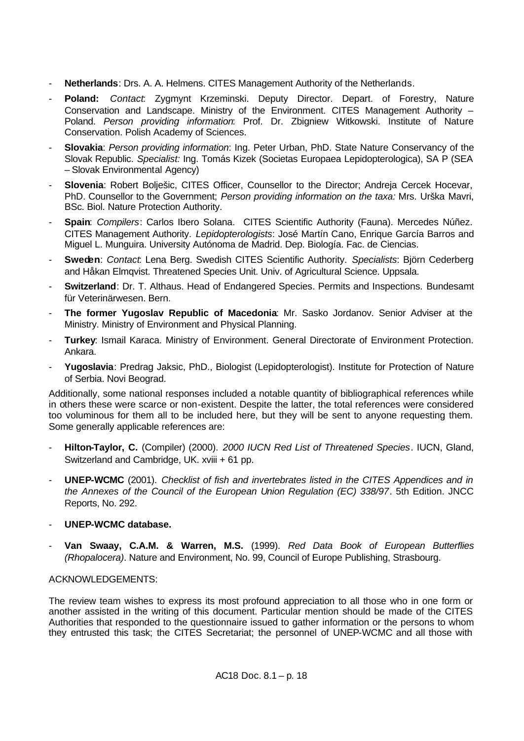- **Netherlands**: Drs. A. A. Helmens. CITES Management Authority of the Netherlands.
- Poland: Contact Zygmynt Krzeminski. Deputy Director. Depart. of Forestry, Nature Conservation and Landscape. Ministry of the Environment. CITES Management Authority – Poland. *Person providing information*: Prof. Dr. Zbigniew Witkowski. Institute of Nature Conservation. Polish Academy of Sciences.
- **Slovakia**: *Person providing information*: Ing. Peter Urban, PhD. State Nature Conservancy of the Slovak Republic. *Specialist:* Ing. Tomás Kizek (Societas Europaea Lepidopterologica), SA P (SEA – Slovak Environmental Agency)
- **Slovenia**: Robert Bolješic, CITES Officer, Counsellor to the Director; Andreja Cercek Hocevar, PhD. Counsellor to the Government; *Person providing information on the taxa:* Mrs. Urška Mavri, BSc. Biol. Nature Protection Authority.
- **Spain**: *Compilers*: Carlos Ibero Solana. CITES Scientific Authority (Fauna). Mercedes Núñez. CITES Management Authority. *Lepidopterologists*: José Martín Cano, Enrique García Barros and Miguel L. Munguira. University Autónoma de Madrid. Dep. Biología. Fac. de Ciencias.
- **Sweden**: *Contact*: Lena Berg. Swedish CITES Scientific Authority. *Specialists*: Björn Cederberg and Håkan Elmqvist. Threatened Species Unit. Univ. of Agricultural Science. Uppsala.
- **Switzerland**: Dr. T. Althaus. Head of Endangered Species. Permits and Inspections. Bundesamt für Veterinärwesen. Bern.
- **The former Yugoslav Republic of Macedonia**: Mr. Sasko Jordanov. Senior Adviser at the Ministry. Ministry of Environment and Physical Planning.
- **Turkey**: Ismail Karaca. Ministry of Environment. General Directorate of Environment Protection. Ankara.
- **Yugoslavia**: Predrag Jaksic, PhD., Biologist (Lepidopterologist). Institute for Protection of Nature of Serbia. Novi Beograd.

Additionally, some national responses included a notable quantity of bibliographical references while in others these were scarce or non-existent. Despite the latter, the total references were considered too voluminous for them all to be included here, but they will be sent to anyone requesting them. Some generally applicable references are:

- **Hilton-Taylor, C.** (Compiler) (2000). *2000 IUCN Red List of Threatened Species*. IUCN, Gland, Switzerland and Cambridge, UK. xviii + 61 pp.
- **UNEP-WCMC** (2001). *Checklist of fish and invertebrates listed in the CITES Appendices and in the Annexes of the Council of the European Union Regulation (EC) 338/97*. 5th Edition. JNCC Reports, No. 292.
- **UNEP-WCMC database.**
- **Van Swaay, C.A.M. & Warren, M.S.** (1999). *Red Data Book of European Butterflies (Rhopalocera)*. Nature and Environment, No. 99, Council of Europe Publishing, Strasbourg.

#### ACKNOWLEDGEMENTS:

The review team wishes to express its most profound appreciation to all those who in one form or another assisted in the writing of this document. Particular mention should be made of the CITES Authorities that responded to the questionnaire issued to gather information or the persons to whom they entrusted this task; the CITES Secretariat; the personnel of UNEP-WCMC and all those with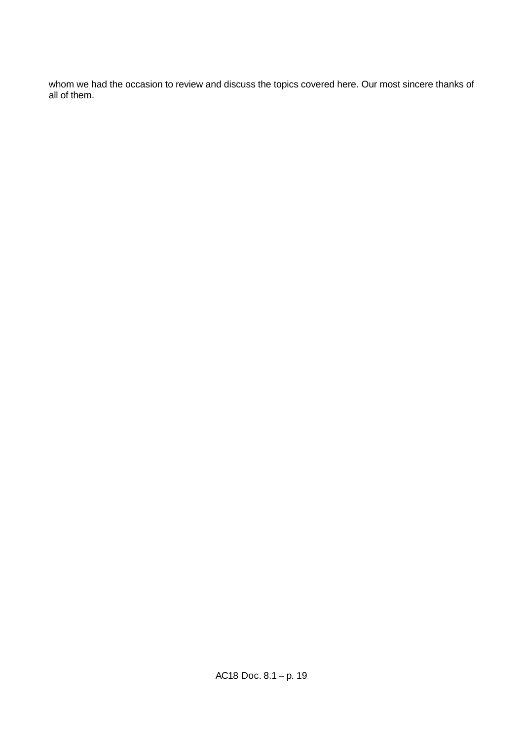whom we had the occasion to review and discuss the topics covered here. Our most sincere thanks of all of them.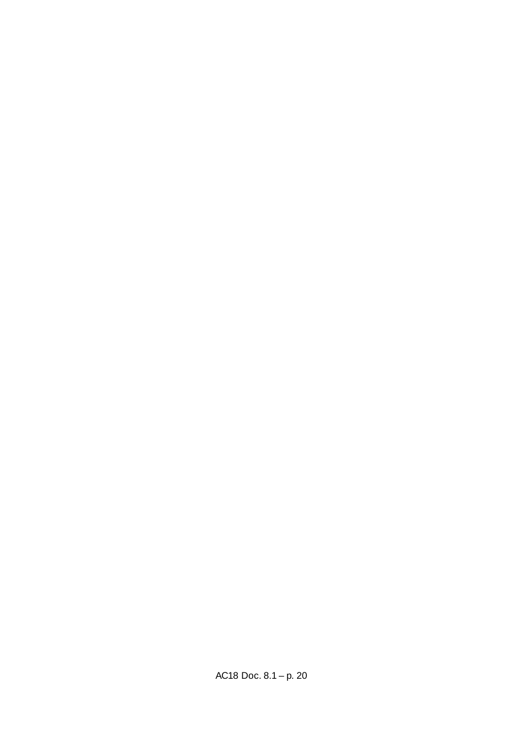AC18 Doc. 8.1 – p. 20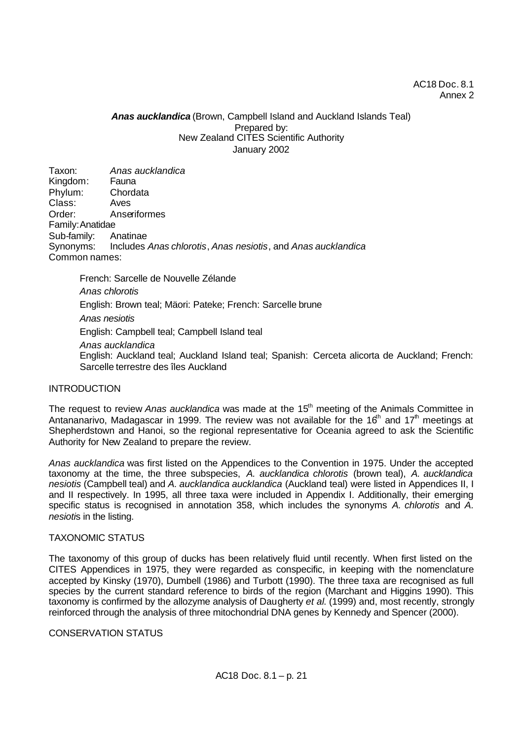#### AC18 Doc. 8.1 Annex 2

#### *Anas aucklandica* (Brown, Campbell Island and Auckland Islands Teal) Prepared by: New Zealand CITES Scientific Authority January 2002

Taxon: *Anas aucklandica* Kingdom: Phylum: Chordata Class: Aves Order: Anseriformes Family:Anatidae Sub-family: Anatinae Synonyms: Includes *Anas chlorotis*, *Anas nesiotis*, and *Anas aucklandica* Common names:

French: Sarcelle de Nouvelle Zélande *Anas chlorotis* English: Brown teal; Mäori: Pateke; French: Sarcelle brune *Anas nesiotis* English: Campbell teal; Campbell Island teal *Anas aucklandica* English: Auckland teal; Auckland Island teal; Spanish: Cerceta alicorta de Auckland; French: Sarcelle terrestre des îles Auckland

#### INTRODUCTION

The request to review *Anas aucklandica* was made at the 15<sup>th</sup> meeting of the Animals Committee in Antananarivo, Madagascar in 1999. The review was not available for the 16<sup>th</sup> and 17<sup>th</sup> meetings at Shepherdstown and Hanoi, so the regional representative for Oceania agreed to ask the Scientific Authority for New Zealand to prepare the review.

*Anas aucklandica* was first listed on the Appendices to the Convention in 1975. Under the accepted taxonomy at the time, the three subspecies, *A. aucklandica chlorotis* (brown teal), *A. aucklandica nesiotis* (Campbell teal) and *A. aucklandica aucklandica* (Auckland teal) were listed in Appendices II, I and II respectively. In 1995, all three taxa were included in Appendix I. Additionally, their emerging specific status is recognised in annotation 358, which includes the synonyms *A. chlorotis* and *A. nesioti*s in the listing.

#### TAXONOMIC STATUS

The taxonomy of this group of ducks has been relatively fluid until recently. When first listed on the CITES Appendices in 1975, they were regarded as conspecific, in keeping with the nomenclature accepted by Kinsky (1970), Dumbell (1986) and Turbott (1990). The three taxa are recognised as full species by the current standard reference to birds of the region (Marchant and Higgins 1990). This taxonomy is confirmed by the allozyme analysis of Daugherty *et al*. (1999) and, most recently, strongly reinforced through the analysis of three mitochondrial DNA genes by Kennedy and Spencer (2000).

#### CONSERVATION STATUS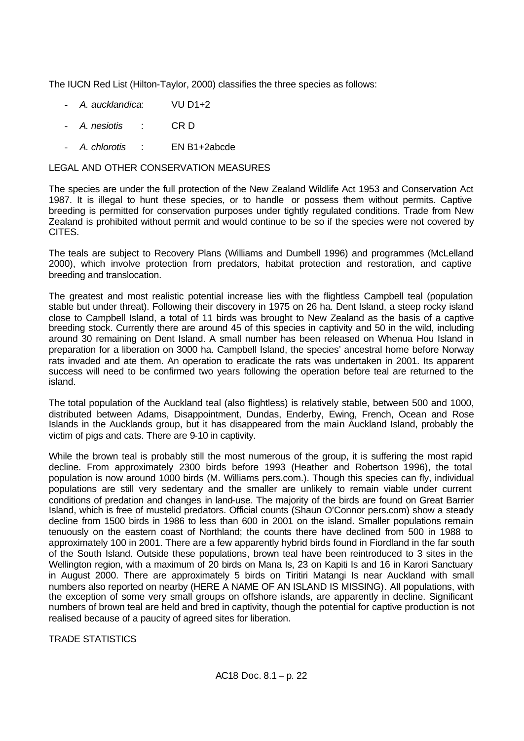The IUCN Red List (Hilton-Taylor, 2000) classifies the three species as follows:

- *A. aucklandica*: VU D1+2
- *A. nesiotis* : CR D
- *A. chlorotis* : EN B1+2abcde

#### LEGAL AND OTHER CONSERVATION MEASURES

The species are under the full protection of the New Zealand Wildlife Act 1953 and Conservation Act 1987. It is illegal to hunt these species, or to handle or possess them without permits. Captive breeding is permitted for conservation purposes under tightly regulated conditions. Trade from New Zealand is prohibited without permit and would continue to be so if the species were not covered by CITES.

The teals are subject to Recovery Plans (Williams and Dumbell 1996) and programmes (McLelland 2000), which involve protection from predators, habitat protection and restoration, and captive breeding and translocation.

The greatest and most realistic potential increase lies with the flightless Campbell teal (population stable but under threat). Following their discovery in 1975 on 26 ha. Dent Island, a steep rocky island close to Campbell Island, a total of 11 birds was brought to New Zealand as the basis of a captive breeding stock. Currently there are around 45 of this species in captivity and 50 in the wild, including around 30 remaining on Dent Island. A small number has been released on Whenua Hou Island in preparation for a liberation on 3000 ha. Campbell Island, the species' ancestral home before Norway rats invaded and ate them. An operation to eradicate the rats was undertaken in 2001. Its apparent success will need to be confirmed two years following the operation before teal are returned to the island.

The total population of the Auckland teal (also flightless) is relatively stable, between 500 and 1000, distributed between Adams, Disappointment, Dundas, Enderby, Ewing, French, Ocean and Rose Islands in the Aucklands group, but it has disappeared from the main Auckland Island, probably the victim of pigs and cats. There are 9-10 in captivity.

While the brown teal is probably still the most numerous of the group, it is suffering the most rapid decline. From approximately 2300 birds before 1993 (Heather and Robertson 1996), the total population is now around 1000 birds (M. Williams pers.com.). Though this species can fly, individual populations are still very sedentary and the smaller are unlikely to remain viable under current conditions of predation and changes in land-use. The majority of the birds are found on Great Barrier Island, which is free of mustelid predators. Official counts (Shaun O'Connor pers.com) show a steady decline from 1500 birds in 1986 to less than 600 in 2001 on the island. Smaller populations remain tenuously on the eastern coast of Northland; the counts there have declined from 500 in 1988 to approximately 100 in 2001. There are a few apparently hybrid birds found in Fiordland in the far south of the South Island. Outside these populations, brown teal have been reintroduced to 3 sites in the Wellington region, with a maximum of 20 birds on Mana Is, 23 on Kapiti Is and 16 in Karori Sanctuary in August 2000. There are approximately 5 birds on Tiritiri Matangi Is near Auckland with small numbers also reported on nearby (HERE A NAME OF AN ISLAND IS MISSING). All populations, with the exception of some very small groups on offshore islands, are apparently in decline. Significant numbers of brown teal are held and bred in captivity, though the potential for captive production is not realised because of a paucity of agreed sites for liberation.

TRADE STATISTICS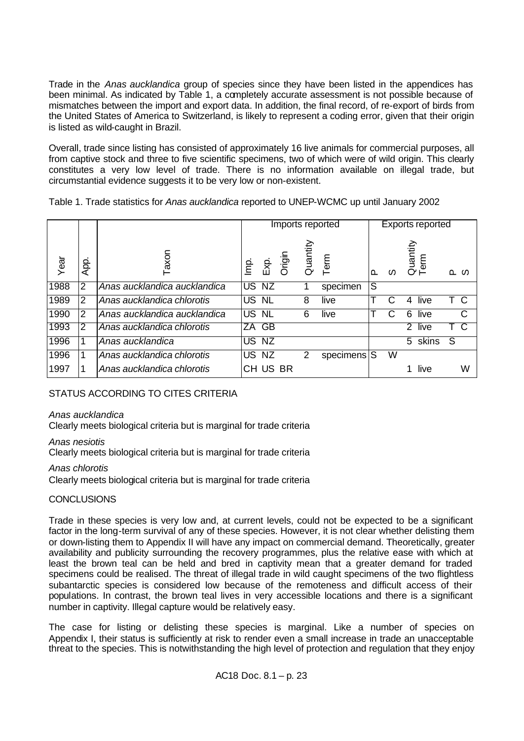Trade in the *Anas aucklandica* group of species since they have been listed in the appendices has been minimal. As indicated by Table 1, a completely accurate assessment is not possible because of mismatches between the import and export data. In addition, the final record, of re-export of birds from the United States of America to Switzerland, is likely to represent a coding error, given that their origin is listed as wild-caught in Brazil.

Overall, trade since listing has consisted of approximately 16 live animals for commercial purposes, all from captive stock and three to five scientific specimens, two of which were of wild origin. This clearly constitutes a very low level of trade. There is no information available on illegal trade, but circumstantial evidence suggests it to be very low or non-existent.

| Table 1. Trade statistics for Anas aucklandica reported to UNEP-WCMC up until January 2002 |  |
|--------------------------------------------------------------------------------------------|--|
|                                                                                            |  |

|      |                | Imports reported             |     |           |          |               |             | <b>Exports reported</b> |          |                        |         |    |    |
|------|----------------|------------------------------|-----|-----------|----------|---------------|-------------|-------------------------|----------|------------------------|---------|----|----|
| Year | App            | axon                         | Ë   | .<br>없    | Origin   | Quantity      | Term        | മ                       | $\Omega$ | <b>Quantity</b><br>erm |         |    | മഗ |
| 1988 | $\overline{2}$ | Anas aucklandica aucklandica | US. | NZ        |          |               | specimen    | S                       |          |                        |         |    |    |
| 1989 | $\overline{2}$ | Anas aucklandica chlorotis   | US. | <b>NL</b> |          | 8             | live        |                         |          | 4                      | live    |    | тс |
| 1990 | $\overline{2}$ | Anas aucklandica aucklandica | US  | <b>NL</b> |          | 6             | live        |                         |          | 6                      | live    |    | C  |
| 1993 | $\overline{2}$ | Anas aucklandica chlorotis   |     | ZA GB     |          |               |             |                         |          |                        | 2 live  |    |    |
| 1996 |                | Anas aucklandica             |     | US NZ     |          |               |             |                         |          |                        | 5 skins | S. |    |
| 1996 | 1              | Anas aucklandica chlorotis   | US  | NZ        |          | $\mathcal{P}$ | specimens S |                         | W        |                        |         |    |    |
| 1997 |                | Anas aucklandica chlorotis   |     |           | CH US BR |               |             |                         |          |                        | live    |    | W  |

## STATUS ACCORDING TO CITES CRITERIA

#### *Anas aucklandica*

Clearly meets biological criteria but is marginal for trade criteria

#### *Anas nesiotis*

Clearly meets biological criteria but is marginal for trade criteria

#### *Anas chlorotis*

Clearly meets biological criteria but is marginal for trade criteria

## **CONCLUSIONS**

Trade in these species is very low and, at current levels, could not be expected to be a significant factor in the long-term survival of any of these species. However, it is not clear whether delisting them or down-listing them to Appendix II will have any impact on commercial demand. Theoretically, greater availability and publicity surrounding the recovery programmes, plus the relative ease with which at least the brown teal can be held and bred in captivity mean that a greater demand for traded specimens could be realised. The threat of illegal trade in wild caught specimens of the two flightless subantarctic species is considered low because of the remoteness and difficult access of their populations. In contrast, the brown teal lives in very accessible locations and there is a significant number in captivity. Illegal capture would be relatively easy.

The case for listing or delisting these species is marginal. Like a number of species on Appendix I, their status is sufficiently at risk to render even a small increase in trade an unacceptable threat to the species. This is notwithstanding the high level of protection and regulation that they enjoy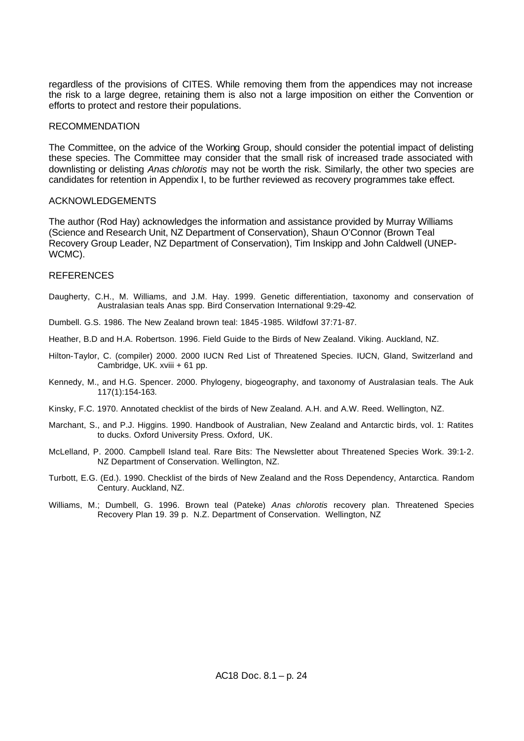regardless of the provisions of CITES. While removing them from the appendices may not increase the risk to a large degree, retaining them is also not a large imposition on either the Convention or efforts to protect and restore their populations.

#### RECOMMENDATION

The Committee, on the advice of the Working Group, should consider the potential impact of delisting these species. The Committee may consider that the small risk of increased trade associated with downlisting or delisting *Anas chlorotis* may not be worth the risk. Similarly, the other two species are candidates for retention in Appendix I, to be further reviewed as recovery programmes take effect.

#### ACKNOWLEDGEMENTS

The author (Rod Hay) acknowledges the information and assistance provided by Murray Williams (Science and Research Unit, NZ Department of Conservation), Shaun O'Connor (Brown Teal Recovery Group Leader, NZ Department of Conservation), Tim Inskipp and John Caldwell (UNEP-WCMC).

#### **REFERENCES**

- Daugherty, C.H., M. Williams, and J.M. Hay. 1999. Genetic differentiation, taxonomy and conservation of Australasian teals Anas spp. Bird Conservation International 9:29-42.
- Dumbell. G.S. 1986. The New Zealand brown teal: 1845 -1985. Wildfowl 37:71-87.
- Heather, B.D and H.A. Robertson. 1996. Field Guide to the Birds of New Zealand. Viking. Auckland, NZ.
- Hilton-Taylor, C. (compiler) 2000. 2000 IUCN Red List of Threatened Species. IUCN, Gland, Switzerland and Cambridge, UK. xviii + 61 pp.
- Kennedy, M., and H.G. Spencer. 2000. Phylogeny, biogeography, and taxonomy of Australasian teals. The Auk 117(1):154-163.
- Kinsky, F.C. 1970. Annotated checklist of the birds of New Zealand. A.H. and A.W. Reed. Wellington, NZ.
- Marchant, S., and P.J. Higgins. 1990. Handbook of Australian, New Zealand and Antarctic birds, vol. 1: Ratites to ducks. Oxford University Press. Oxford, UK.
- McLelland, P. 2000. Campbell Island teal. Rare Bits: The Newsletter about Threatened Species Work. 39:1-2. NZ Department of Conservation. Wellington, NZ.
- Turbott, E.G. (Ed.). 1990. Checklist of the birds of New Zealand and the Ross Dependency, Antarctica. Random Century. Auckland, NZ.
- Williams, M.; Dumbell, G. 1996. Brown teal (Pateke) *Anas chlorotis* recovery plan. Threatened Species Recovery Plan 19. 39 p. N.Z. Department of Conservation. Wellington, NZ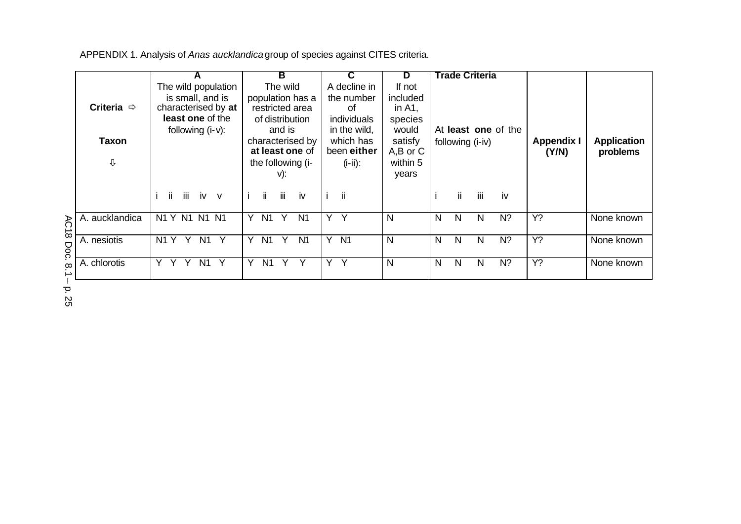| APPENDIX 1. Analysis of Anas aucklandicagroup of species against CITES criteria. |  |  |
|----------------------------------------------------------------------------------|--|--|
|                                                                                  |  |  |

|             |                        | A                                                  | в                              | С                   | D            | <b>Trade Criteria</b>                                       |
|-------------|------------------------|----------------------------------------------------|--------------------------------|---------------------|--------------|-------------------------------------------------------------|
|             |                        | The wild population                                | The wild                       | A decline in        | If not       |                                                             |
|             |                        | is small, and is                                   | population has a               | the number          | included     |                                                             |
|             | Criteria $\Rightarrow$ | characterised by at                                | restricted area                | οf                  | in $A1$ ,    |                                                             |
|             |                        | least one of the                                   | of distribution                | individuals         | species      |                                                             |
|             |                        | following $(i-v)$ :                                | and is                         | in the wild,        | would        | At least one of the                                         |
|             | <b>Taxon</b>           |                                                    | characterised by               | which has           | satisfy      | <b>Application</b><br><b>Appendix I</b><br>following (i-iv) |
|             |                        |                                                    | at least one of                | been either         | $A,B$ or $C$ | problems<br>(Y/N)                                           |
|             | ⇩                      |                                                    | the following (i-              | $(i-ii)$ :          | within 5     |                                                             |
|             |                        |                                                    | v):                            |                     | years        |                                                             |
|             |                        |                                                    |                                |                     |              |                                                             |
|             |                        | iii<br>ii.<br>iv<br>$\mathsf{v}$                   | ii.<br>iii.<br>iv              | ii                  |              | ii.<br>iii<br>iv                                            |
|             |                        |                                                    |                                |                     |              |                                                             |
|             | A. aucklandica         | N1 Y N1 N1 N1                                      | N <sub>1</sub><br>Y<br>N1<br>Y | Y Y                 | N            | Y?<br>$N$ ?<br>N<br>N<br>N<br>None known                    |
|             |                        |                                                    |                                |                     |              |                                                             |
| $^{\circ}$  | A. nesiotis            | $\mathsf{Y}$<br>N <sub>1</sub> Y<br>N <sub>1</sub> | N <sub>1</sub><br>N1<br>Y<br>Y | Y<br>N <sub>1</sub> | N            | Y?<br>$N$ ?<br>None known<br>N<br>N<br>N                    |
| 20          |                        |                                                    |                                |                     |              |                                                             |
| $^{\infty}$ | A. chlorotis           | $\mathsf{Y}$<br>N <sub>1</sub>                     | Y<br>N <sub>1</sub><br>Y       | Y<br>Y.             | N            | $N$ ?<br>Y?<br>N<br>None known<br>N<br>N                    |
|             |                        |                                                    |                                |                     |              |                                                             |

Doc. .<br>د – p. 25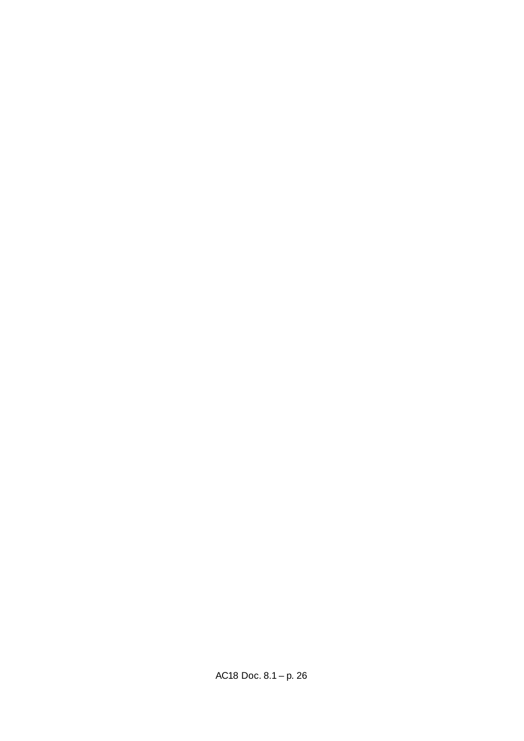AC18 Doc. 8.1 – p. 26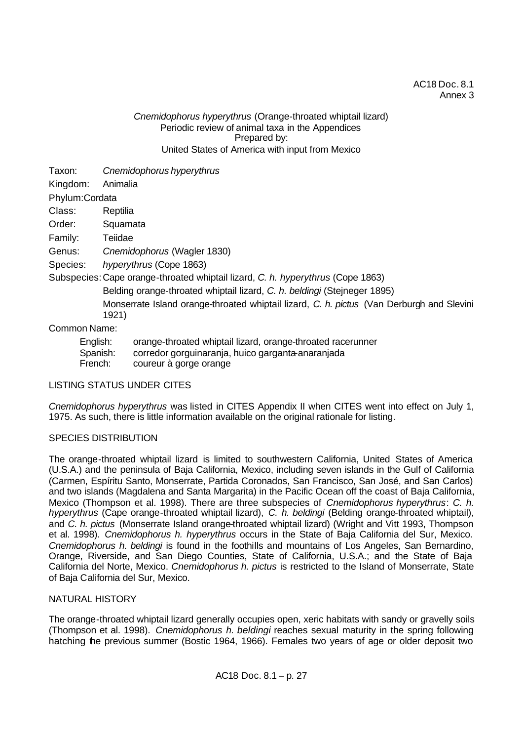#### AC18 Doc. 8.1 Annex 3

#### *Cnemidophorus hyperythrus* (Orange-throated whiptail lizard) Periodic review of animal taxa in the Appendices Prepared by: United States of America with input from Mexico

Taxon: *Cnemidophorus hyperythrus*

Kingdom: Animalia

Phylum:Cordata

Class: Reptilia

Order: Squamata

Family: Teiidae

Genus: *Cnemidophorus* (Wagler 1830)

Species: *hyperythrus* (Cope 1863)

Subspecies:Cape orange-throated whiptail lizard, *C. h. hyperythrus* (Cope 1863)

Belding orange-throated whiptail lizard, *C. h. beldingi* (Stejneger 1895)

Monserrate Island orange-throated whiptail lizard, *C. h. pictus* (Van Derburgh and Slevini 1921)

Common Name:

| English: | orange-throated whiptail lizard, orange-throated racerunner |
|----------|-------------------------------------------------------------|
| Spanish: | corredor gorguinaranja, huico garganta anaranjada           |
| French:  | coureur à gorge orange                                      |

#### LISTING STATUS UNDER CITES

*Cnemidophorus hyperythrus* was listed in CITES Appendix II when CITES went into effect on July 1, 1975. As such, there is little information available on the original rationale for listing.

### SPECIES DISTRIBUTION

The orange-throated whiptail lizard is limited to southwestern California, United States of America (U.S.A.) and the peninsula of Baja California, Mexico, including seven islands in the Gulf of California (Carmen, Espíritu Santo, Monserrate, Partida Coronados, San Francisco, San José, and San Carlos) and two islands (Magdalena and Santa Margarita) in the Pacific Ocean off the coast of Baja California, Mexico (Thompson et al. 1998). There are three subspecies of *Cnemidophorus hyperythrus*: *C. h. hyperythrus* (Cape orange-throated whiptail lizard), *C. h. beldingi* (Belding orange-throated whiptail), and *C. h. pictus* (Monserrate Island orange-throated whiptail lizard) (Wright and Vitt 1993, Thompson et al. 1998). *Cnemidophorus h. hyperythrus* occurs in the State of Baja California del Sur, Mexico. *Cnemidophorus h. beldingi* is found in the foothills and mountains of Los Angeles, San Bernardino, Orange, Riverside, and San Diego Counties, State of California, U.S.A.; and the State of Baja California del Norte, Mexico. *Cnemidophorus h. pictus* is restricted to the Island of Monserrate, State of Baja California del Sur, Mexico.

#### NATURAL HISTORY

The orange-throated whiptail lizard generally occupies open, xeric habitats with sandy or gravelly soils (Thompson et al. 1998). *Cnemidophorus h. beldingi* reaches sexual maturity in the spring following hatching the previous summer (Bostic 1964, 1966). Females two years of age or older deposit two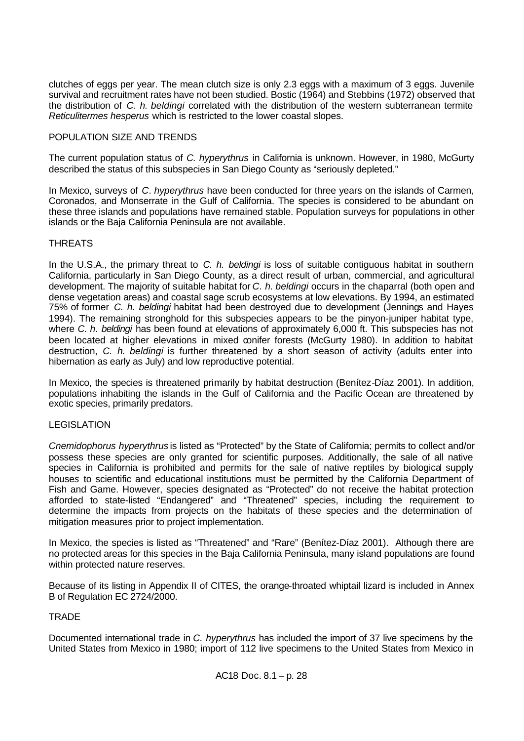clutches of eggs per year. The mean clutch size is only 2.3 eggs with a maximum of 3 eggs. Juvenile survival and recruitment rates have not been studied. Bostic (1964) and Stebbins (1972) observed that the distribution of *C. h. beldingi* correlated with the distribution of the western subterranean termite *Reticulitermes hesperus* which is restricted to the lower coastal slopes.

#### POPULATION SIZE AND TRENDS

The current population status of *C. hyperythrus* in California is unknown. However, in 1980, McGurty described the status of this subspecies in San Diego County as "seriously depleted."

In Mexico, surveys of *C. hyperythrus* have been conducted for three years on the islands of Carmen, Coronados, and Monserrate in the Gulf of California. The species is considered to be abundant on these three islands and populations have remained stable. Population surveys for populations in other islands or the Baja California Peninsula are not available.

#### **THREATS**

In the U.S.A., the primary threat to *C. h. beldingi* is loss of suitable contiguous habitat in southern California, particularly in San Diego County, as a direct result of urban, commercial, and agricultural development. The majority of suitable habitat for *C. h. beldingi* occurs in the chaparral (both open and dense vegetation areas) and coastal sage scrub ecosystems at low elevations. By 1994, an estimated 75% of former *C. h. beldingi* habitat had been destroyed due to development (Jennings and Hayes 1994). The remaining stronghold for this subspecies appears to be the pinyon-juniper habitat type, where *C. h. beldingi* has been found at elevations of approximately 6,000 ft. This subspecies has not been located at higher elevations in mixed conifer forests (McGurty 1980). In addition to habitat destruction, *C. h. beldingi* is further threatened by a short season of activity (adults enter into hibernation as early as July) and low reproductive potential.

In Mexico, the species is threatened primarily by habitat destruction (Benítez-Díaz 2001). In addition, populations inhabiting the islands in the Gulf of California and the Pacific Ocean are threatened by exotic species, primarily predators.

#### LEGISLATION

*Cnemidophorus hyperythrus* is listed as "Protected" by the State of California; permits to collect and/or possess these species are only granted for scientific purposes. Additionally, the sale of all native species in California is prohibited and permits for the sale of native reptiles by biological supply house*s* to scientific and educational institutions must be permitted by the California Department of Fish and Game. However, species designated as "Protected" do not receive the habitat protection afforded to state-listed "Endangered" and "Threatened" species, including the requirement to determine the impacts from projects on the habitats of these species and the determination of mitigation measures prior to project implementation.

In Mexico, the species is listed as "Threatened" and "Rare" (Benítez-Díaz 2001). Although there are no protected areas for this species in the Baja California Peninsula, many island populations are found within protected nature reserves.

Because of its listing in Appendix II of CITES, the orange-throated whiptail lizard is included in Annex B of Regulation EC 2724/2000.

#### **TRADE**

Documented international trade in *C. hyperythrus* has included the import of 37 live specimens by the United States from Mexico in 1980; import of 112 live specimens to the United States from Mexico in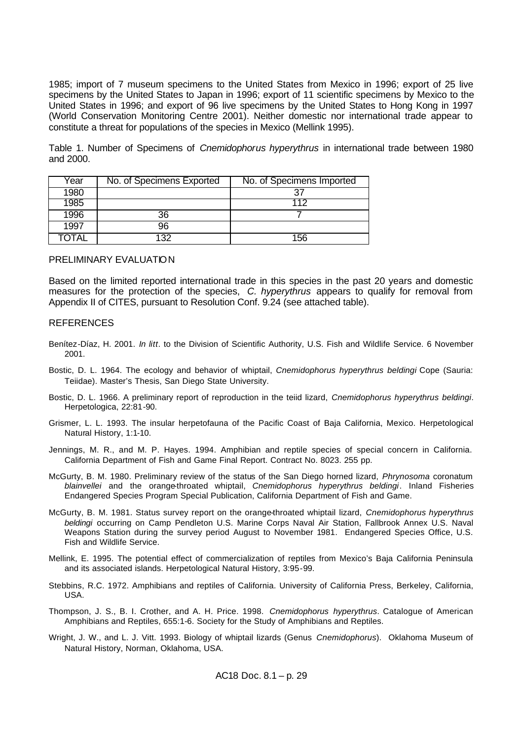1985; import of 7 museum specimens to the United States from Mexico in 1996; export of 25 live specimens by the United States to Japan in 1996; export of 11 scientific specimens by Mexico to the United States in 1996; and export of 96 live specimens by the United States to Hong Kong in 1997 (World Conservation Monitoring Centre 2001). Neither domestic nor international trade appear to constitute a threat for populations of the species in Mexico (Mellink 1995).

Table 1. Number of Specimens of *Cnemidophorus hyperythrus* in international trade between 1980 and 2000.

| Year  | No. of Specimens Exported | No. of Specimens Imported |
|-------|---------------------------|---------------------------|
| 1980  |                           |                           |
| 1985  |                           | 11 2                      |
| 1996  | 36                        |                           |
| 1997  | 96                        |                           |
| TOTAL | າາ                        | 156                       |

#### PRELIMINARY EVALUATION

Based on the limited reported international trade in this species in the past 20 years and domestic measures for the protection of the species, *C. hyperythrus* appears to qualify for removal from Appendix II of CITES, pursuant to Resolution Conf. 9.24 (see attached table).

#### **REFERENCES**

- Benítez-Díaz, H. 2001. *In litt*. to the Division of Scientific Authority, U.S. Fish and Wildlife Service. 6 November 2001.
- Bostic, D. L. 1964. The ecology and behavior of whiptail, *Cnemidophorus hyperythrus beldingi* Cope (Sauria: Teiidae). Master's Thesis, San Diego State University.
- Bostic, D. L. 1966. A preliminary report of reproduction in the teiid lizard, *Cnemidophorus hyperythrus beldingi*. Herpetologica, 22:81-90.
- Grismer, L. L. 1993. The insular herpetofauna of the Pacific Coast of Baja California, Mexico. Herpetological Natural History, 1:1-10.
- Jennings, M. R., and M. P. Hayes. 1994. Amphibian and reptile species of special concern in California. California Department of Fish and Game Final Report. Contract No. 8023. 255 pp.
- McGurty, B. M. 1980. Preliminary review of the status of the San Diego horned lizard, *Phrynosoma* coronatum *blainvellei* and the orange-throated whiptail, *Cnemidophorus hyperythrus beldingi*. Inland Fisheries Endangered Species Program Special Publication, California Department of Fish and Game.
- McGurty, B. M. 1981. Status survey report on the orange-throated whiptail lizard, *Cnemidophorus hyperythrus beldingi* occurring on Camp Pendleton U.S. Marine Corps Naval Air Station, Fallbrook Annex U.S. Naval Weapons Station during the survey period August to November 1981. Endangered Species Office, U.S. Fish and Wildlife Service.
- Mellink, E. 1995. The potential effect of commercialization of reptiles from Mexico's Baja California Peninsula and its associated islands. Herpetological Natural History, 3:95-99.
- Stebbins, R.C. 1972. Amphibians and reptiles of California. University of California Press, Berkeley, California, USA.
- Thompson, J. S., B. I. Crother, and A. H. Price. 1998. *Cnemidophorus hyperythrus*. Catalogue of American Amphibians and Reptiles, 655:1-6. Society for the Study of Amphibians and Reptiles.
- Wright, J. W., and L. J. Vitt. 1993. Biology of whiptail lizards (Genus *Cnemidophorus*). Oklahoma Museum of Natural History, Norman, Oklahoma, USA.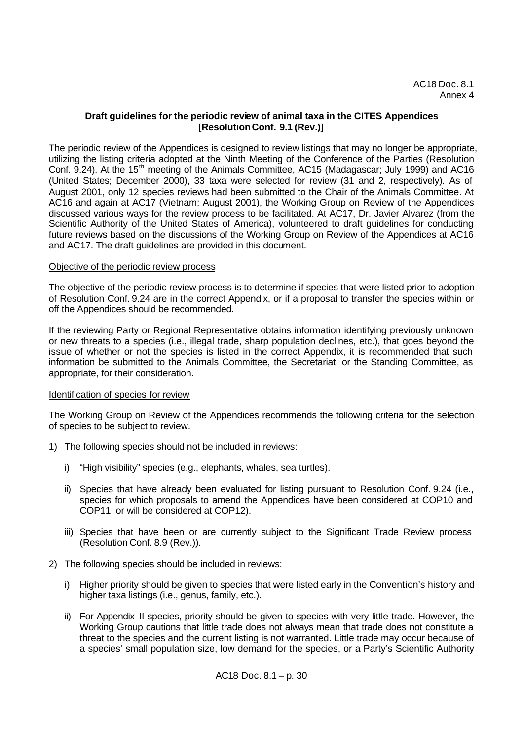#### **Draft guidelines for the periodic review of animal taxa in the CITES Appendices [Resolution Conf. 9.1 (Rev.)]**

The periodic review of the Appendices is designed to review listings that may no longer be appropriate, utilizing the listing criteria adopted at the Ninth Meeting of the Conference of the Parties (Resolution Conf. 9.24). At the 15<sup>th</sup> meeting of the Animals Committee, AC15 (Madagascar; July 1999) and AC16 (United States; December 2000), 33 taxa were selected for review (31 and 2, respectively). As of August 2001, only 12 species reviews had been submitted to the Chair of the Animals Committee. At AC16 and again at AC17 (Vietnam; August 2001), the Working Group on Review of the Appendices discussed various ways for the review process to be facilitated. At AC17, Dr. Javier Alvarez (from the Scientific Authority of the United States of America), volunteered to draft guidelines for conducting future reviews based on the discussions of the Working Group on Review of the Appendices at AC16 and AC17. The draft guidelines are provided in this document.

#### Objective of the periodic review process

The objective of the periodic review process is to determine if species that were listed prior to adoption of Resolution Conf. 9.24 are in the correct Appendix, or if a proposal to transfer the species within or off the Appendices should be recommended.

If the reviewing Party or Regional Representative obtains information identifying previously unknown or new threats to a species (i.e., illegal trade, sharp population declines, etc.), that goes beyond the issue of whether or not the species is listed in the correct Appendix, it is recommended that such information be submitted to the Animals Committee, the Secretariat, or the Standing Committee, as appropriate, for their consideration.

#### Identification of species for review

The Working Group on Review of the Appendices recommends the following criteria for the selection of species to be subject to review.

- 1) The following species should not be included in reviews:
	- i) "High visibility" species (e.g., elephants, whales, sea turtles).
	- ii) Species that have already been evaluated for listing pursuant to Resolution Conf. 9.24 (i.e., species for which proposals to amend the Appendices have been considered at COP10 and COP11, or will be considered at COP12).
	- iii) Species that have been or are currently subject to the Significant Trade Review process (Resolution Conf. 8.9 (Rev.)).
- 2) The following species should be included in reviews:
	- i) Higher priority should be given to species that were listed early in the Convention's history and higher taxa listings (i.e., genus, family, etc.).
	- ii) For Appendix-II species, priority should be given to species with very little trade. However, the Working Group cautions that little trade does not always mean that trade does not constitute a threat to the species and the current listing is not warranted. Little trade may occur because of a species' small population size, low demand for the species, or a Party's Scientific Authority